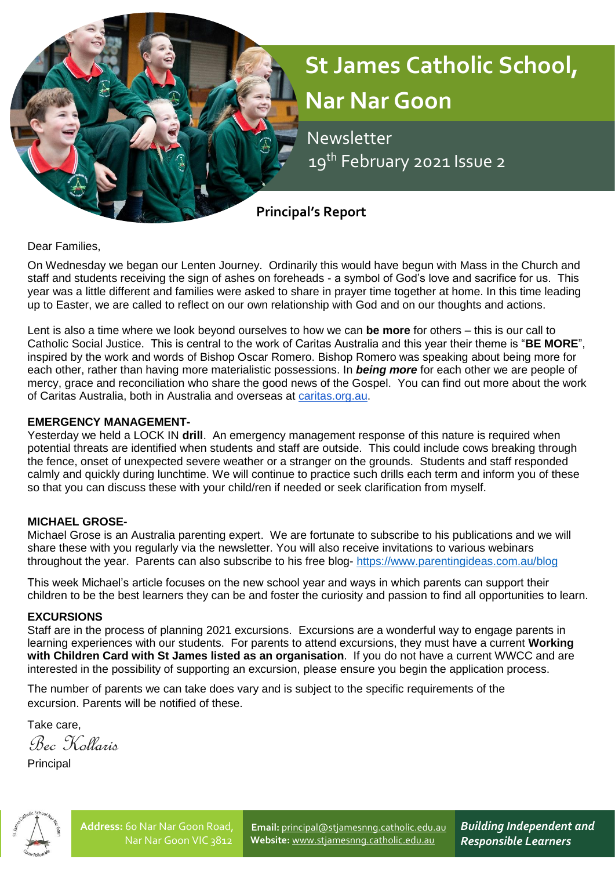

Dear Families,

On Wednesday we began our Lenten Journey. Ordinarily this would have begun with Mass in the Church and staff and students receiving the sign of ashes on foreheads - a symbol of God's love and sacrifice for us. This year was a little different and families were asked to share in prayer time together at home. In this time leading up to Easter, we are called to reflect on our own relationship with God and on our thoughts and actions.

Lent is also a time where we look beyond ourselves to how we can **be more** for others – this is our call to Catholic Social Justice. This is central to the work of Caritas Australia and this year their theme is "**BE MORE**", inspired by the work and words of Bishop Oscar Romero. Bishop Romero was speaking about being more for each other, rather than having more materialistic possessions. In *being more* for each other we are people of mercy, grace and reconciliation who share the good news of the Gospel. You can find out more about the work of Caritas Australia, both in Australia and overseas at [caritas.org.au.](http://caritas.org.au/)

## **EMERGENCY MANAGEMENT-**

Yesterday we held a LOCK IN **drill**. An emergency management response of this nature is required when potential threats are identified when students and staff are outside. This could include cows breaking through the fence, onset of unexpected severe weather or a stranger on the grounds. Students and staff responded calmly and quickly during lunchtime. We will continue to practice such drills each term and inform you of these so that you can discuss these with your child/ren if needed or seek clarification from myself.

# **MICHAEL GROSE-**

Michael Grose is an Australia parenting expert. We are fortunate to subscribe to his publications and we will share these with you regularly via the newsletter. You will also receive invitations to various webinars throughout the year. Parents can also subscribe to his free blog- <https://www.parentingideas.com.au/blog>

This week Michael's article focuses on the new school year and ways in which parents can support their children to be the best learners they can be and foster the curiosity and passion to find all opportunities to learn.

## **EXCURSIONS**

Staff are in the process of planning 2021 excursions. Excursions are a wonderful way to engage parents in learning experiences with our students. For parents to attend excursions, they must have a current **Working with Children Card with St James listed as an organisation**. If you do not have a current WWCC and are interested in the possibility of supporting an excursion, please ensure you begin the application process.

The number of parents we can take does vary and is subject to the specific requirements of the excursion. Parents will be notified of these.

Take care,

Bec Kollaris

Principal



**Email:** [principal@stjamesnng.catholic.edu.au](mailto:principal@stjamesnng.catholic.edu.au) **Website:** [www.stjamesnng.catholic.edu.au](http://www.stjamesnng.catholic.edu.au/)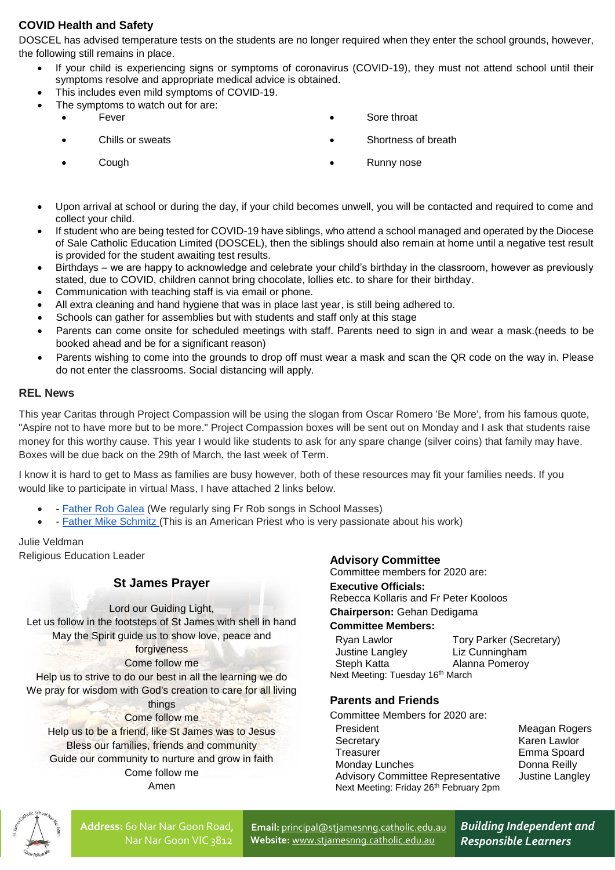# **COVID Health and Safety**

DOSCEL has advised temperature tests on the students are no longer required when they enter the school grounds, however, the following still remains in place.

- If your child is experiencing signs or symptoms of coronavirus (COVID-19), they must not attend school until their symptoms resolve and appropriate medical advice is obtained.
- This includes even mild symptoms of COVID-19.
	- The symptoms to watch out for are:
		-

- 
- Fever **Fever Fever Solution Fever Solution Solution Solution Solution Solution Solution Solution Solution Solution Solution Solution Solution Solution Solution Solution Solution So**
- Chills or sweats Shortness of breath Chills or sweats Shortness of breath
- Cough **Cough Cough Cough Cough Cough Cough Cough Cough Cough Cough Cough Cough Cough Cough Cough Cough Cough Cough Cough Cough Cough Cough Cough Cough Cough Cough Cough Cough Cough Cough Cough Cough Cough Cough Cough Cou**
- Upon arrival at school or during the day, if your child becomes unwell, you will be contacted and required to come and collect your child.
- If student who are being tested for COVID-19 have siblings, who attend a school managed and operated by the Diocese of Sale Catholic Education Limited (DOSCEL), then the siblings should also remain at home until a negative test result is provided for the student awaiting test results.
- Birthdays we are happy to acknowledge and celebrate your child's birthday in the classroom, however as previously stated, due to COVID, children cannot bring chocolate, lollies etc. to share for their birthday.
- Communication with teaching staff is via email or phone.
- All extra cleaning and hand hygiene that was in place last year, is still being adhered to.
- Schools can gather for assemblies but with students and staff only at this stage
- Parents can come onsite for scheduled meetings with staff. Parents need to sign in and wear a mask.(needs to be booked ahead and be for a significant reason)
- Parents wishing to come into the grounds to drop off must wear a mask and scan the QR code on the way in. Please do not enter the classrooms. Social distancing will apply.

#### **REL News**

This year Caritas through Project Compassion will be using the slogan from Oscar Romero 'Be More', from his famous quote, "Aspire not to have more but to be more." Project Compassion boxes will be sent out on Monday and I ask that students raise money for this worthy cause. This year I would like students to ask for any spare change (silver coins) that family may have. Boxes will be due back on the 29th of March, the last week of Term.

I know it is hard to get to Mass as families are busy however, both of these resources may fit your families needs. If you would like to participate in virtual Mass, I have attached 2 links below.

- **[Father Rob Galea](https://www.youtube.com/channel/UCKBL7GTDGu8se5Wml5n85WA)** (We regularly sing Fr Rob songs in School Masses)
- [Father Mike Schmitz](https://www.youtube.com/playlist?list=PLeXS0cAkuTPpXwZmWt2sdR4voVwcCvvOq) (This is an American Priest who is very passionate about his work)

Julie Veldman Religious Education Leader

## **St James Prayer**

Lord our Guiding Light,

Let us follow in the footsteps of St James with shell in hand May the Spirit guide us to show love, peace and

#### forgiveness Come follow me

Help us to strive to do our best in all the learning we do

We pray for wisdom with God's creation to care for all living

#### things Come follow me

Help us to be a friend, like St James was to Jesus Bless our families, friends and community Guide our community to nurture and grow in faith Come follow me Amen

## **Advisory Committee**

Committee members for 2020 are:

#### **Executive Officials:**

Rebecca Kollaris and Fr Peter Kooloos

#### **Chairperson:** Gehan Dedigama

# **Committee Members:**

| Ryan Lawlor                      | Tory Parker (Secretary) |  |
|----------------------------------|-------------------------|--|
| Justine Langley                  | Liz Cunningham          |  |
| Steph Katta                      | Alanna Pomeroy          |  |
| Next Meeting: Tuesday 16th March |                         |  |

## **Parents and Friends**

Committee Members for 2020 are: President Meagan Rogers Secretary **Karen Lawlor** Treasurer **Emma** Spoard Monday Lunches Donna Reilly Advisory Committee Representative Justine Langley Next Meeting: Friday 26<sup>th</sup> February 2pm



**Email:** [principal@stjamesnng.catholic.edu.au](mailto:principal@stjamesnng.catholic.edu.au) **Website:** [www.stjamesnng.catholic.edu.au](http://www.stjamesnng.catholic.edu.au/)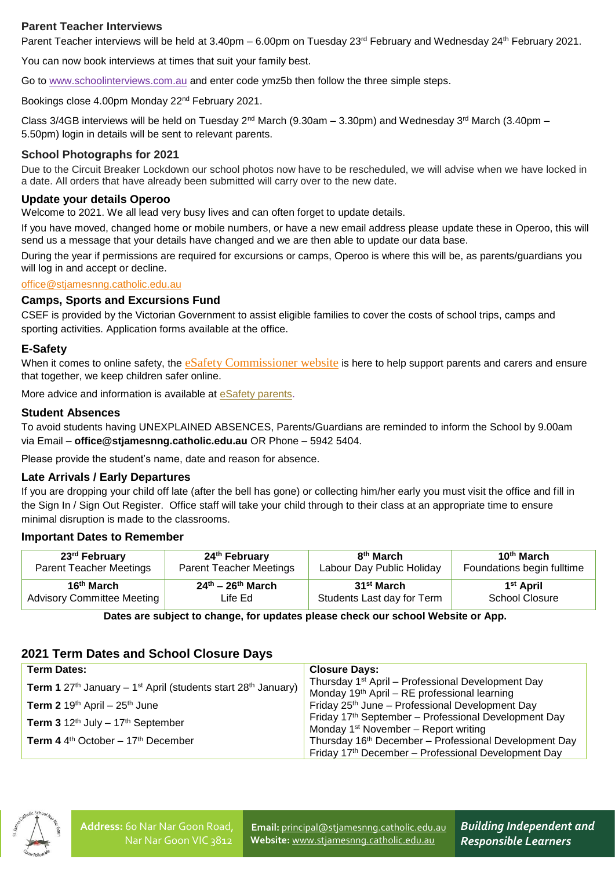# **Parent Teacher Interviews**

Parent Teacher interviews will be held at 3.40pm – 6.00pm on Tuesday  $23^{rd}$  February and Wednesday  $24^{th}$  February 2021.

You can now book interviews at times that suit your family best.

Go to [www.schoolinterviews.com.au](http://www.schoolinterviews.com.au/) and enter code ymz5b then follow the three simple steps.

Bookings close 4.00pm Monday 22nd February 2021.

Class 3/4GB interviews will be held on Tuesday 2<sup>nd</sup> March (9.30am – 3.30pm) and Wednesday 3<sup>rd</sup> March (3.40pm – 5.50pm) login in details will be sent to relevant parents.

#### **School Photographs for 2021**

Due to the Circuit Breaker Lockdown our school photos now have to be rescheduled, we will advise when we have locked in a date. All orders that have already been submitted will carry over to the new date.

#### **Update your details Operoo**

Welcome to 2021. We all lead very busy lives and can often forget to update details.

If you have moved, changed home or mobile numbers, or have a new email address please update these in Operoo, this will send us a message that your details have changed and we are then able to update our data base.

During the year if permissions are required for excursions or camps, Operoo is where this will be, as parents/guardians you will log in and accept or decline.

#### [office@stjamesnng.catholic.edu.au](mailto:office@stjamesnng.catholic.edu.au)

#### **Camps, Sports and Excursions Fund**

CSEF is provided by the Victorian Government to assist eligible families to cover the costs of school trips, camps and sporting activities. Application forms available at the office.

#### **E-Safety**

When it comes to online safety, the [eSafety Commissioner website](https://www.esafety.gov.au/parents) is here to help support parents and carers and ensure that together, we keep children safer online.

More advice and information is available at [eSafety parents.](https://www.esafety.gov.au/parents)

#### **Student Absences**

To avoid students having UNEXPLAINED ABSENCES, Parents/Guardians are reminded to inform the School by 9.00am via Email – **office@stjamesnng.catholic.edu.au** OR Phone – 5942 5404.

Please provide the student's name, date and reason for absence.

#### **Late Arrivals / Early Departures**

If you are dropping your child off late (after the bell has gone) or collecting him/her early you must visit the office and fill in the Sign In / Sign Out Register. Office staff will take your child through to their class at an appropriate time to ensure minimal disruption is made to the classrooms.

#### **Important Dates to Remember**

| 23 <sup>rd</sup> February         | 24 <sup>th</sup> February      | 8 <sup>th</sup> March      | 10 <sup>th</sup> March     |
|-----------------------------------|--------------------------------|----------------------------|----------------------------|
| <b>Parent Teacher Meetings</b>    | <b>Parent Teacher Meetings</b> | Labour Day Public Holiday  | Foundations begin fulltime |
| 16 <sup>th</sup> March            | $24^{th}$ – $26^{th}$ March    | 31 <sup>st</sup> March     | 1 <sup>st</sup> April      |
| <b>Advisory Committee Meeting</b> | ∟ife Ed                        | Students Last day for Term | <b>School Closure</b>      |

**Dates are subject to change, for updates please check our school Website or App.**

## **2021 Term Dates and School Closure Days**

| <b>Term Dates:</b>                                                                                       | <b>Closure Days:</b>                                                                                                      |
|----------------------------------------------------------------------------------------------------------|---------------------------------------------------------------------------------------------------------------------------|
| <b>Term 1</b> 27 <sup>th</sup> January – 1 <sup>st</sup> April (students start 28 <sup>th</sup> January) | Thursday 1 <sup>st</sup> April - Professional Development Day<br>Monday 19 <sup>th</sup> April – RE professional learning |
| <b>Term 2</b> 19 <sup>th</sup> April – $25$ <sup>th</sup> June                                           | Friday 25 <sup>th</sup> June - Professional Development Day                                                               |
| Term $3.12^{\text{th}}$ July $-17^{\text{th}}$ September                                                 | Friday 17th September - Professional Development Day<br>Monday $1st$ November – Report writing                            |
| <b>Term 4</b> 4 <sup>th</sup> October $-17$ <sup>th</sup> December                                       | Thursday 16 <sup>th</sup> December - Professional Development Day<br>Friday 17th December - Professional Development Day  |



**Email:** [principal@stjamesnng.catholic.edu.au](mailto:principal@stjamesnng.catholic.edu.au) **Website:** [www.stjamesnng.catholic.edu.au](http://www.stjamesnng.catholic.edu.au/)